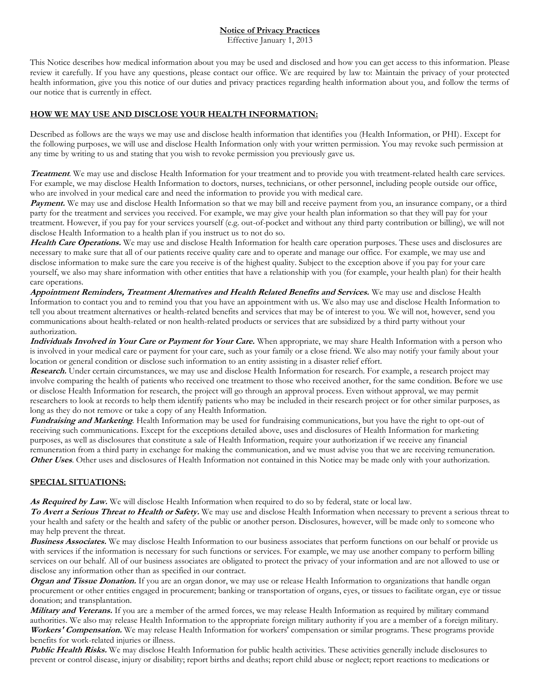## **Notice of Privacy Practices**

Effective January 1, 2013

This Notice describes how medical information about you may be used and disclosed and how you can get access to this information. Please review it carefully. If you have any questions, please contact our office. We are required by law to: Maintain the privacy of your protected health information, give you this notice of our duties and privacy practices regarding health information about you, and follow the terms of our notice that is currently in effect.

## **HOW WE MAY USE AND DISCLOSE YOUR HEALTH INFORMATION:**

Described as follows are the ways we may use and disclose health information that identifies you (Health Information, or PHI). Except for the following purposes, we will use and disclose Health Information only with your written permission. You may revoke such permission at any time by writing to us and stating that you wish to revoke permission you previously gave us.

**Treatment**. We may use and disclose Health Information for your treatment and to provide you with treatment-related health care services. For example, we may disclose Health Information to doctors, nurses, technicians, or other personnel, including people outside our office, who are involved in your medical care and need the information to provide you with medical care.

Payment. We may use and disclose Health Information so that we may bill and receive payment from you, an insurance company, or a third party for the treatment and services you received. For example, we may give your health plan information so that they will pay for your treatment. However, if you pay for your services yourself (e.g. out-of-pocket and without any third party contribution or billing), we will not disclose Health Information to a health plan if you instruct us to not do so.

Health Care Operations. We may use and disclose Health Information for health care operation purposes. These uses and disclosures are necessary to make sure that all of our patients receive quality care and to operate and manage our office. For example, we may use and disclose information to make sure the care you receive is of the highest quality. Subject to the exception above if you pay for your care yourself, we also may share information with other entities that have a relationship with you (for example, your health plan) for their health care operations.

**Appointment Reminders, Treatment Alternatives and Health Related Benefits and Services.** We may use and disclose Health Information to contact you and to remind you that you have an appointment with us. We also may use and disclose Health Information to tell you about treatment alternatives or health-related benefits and services that may be of interest to you. We will not, however, send you communications about health-related or non health-related products or services that are subsidized by a third party without your authorization.

**Individuals Involved in Your Care or Payment for Your Care.** When appropriate, we may share Health Information with a person who is involved in your medical care or payment for your care, such as your family or a close friend. We also may notify your family about your location or general condition or disclose such information to an entity assisting in a disaster relief effort.

**Research.** Under certain circumstances, we may use and disclose Health Information for research. For example, a research project may involve comparing the health of patients who received one treatment to those who received another, for the same condition. Before we use or disclose Health Information for research, the project will go through an approval process. Even without approval, we may permit researchers to look at records to help them identify patients who may be included in their research project or for other similar purposes, as long as they do not remove or take a copy of any Health Information.

**Fundraising and Marketing**. Health Information may be used for fundraising communications, but you have the right to opt-out of receiving such communications. Except for the exceptions detailed above, uses and disclosures of Health Information for marketing purposes, as well as disclosures that constitute a sale of Health Information, require your authorization if we receive any financial remuneration from a third party in exchange for making the communication, and we must advise you that we are receiving remuneration. **Other Uses**. Other uses and disclosures of Health Information not contained in this Notice may be made only with your authorization.

## **SPECIAL SITUATIONS:**

**As Required by Law.** We will disclose Health Information when required to do so by federal, state or local law.

**To Avert a Serious Threat to Health or Safety.** We may use and disclose Health Information when necessary to prevent a serious threat to your health and safety or the health and safety of the public or another person. Disclosures, however, will be made only to someone who may help prevent the threat.

**Business Associates.** We may disclose Health Information to our business associates that perform functions on our behalf or provide us with services if the information is necessary for such functions or services. For example, we may use another company to perform billing services on our behalf. All of our business associates are obligated to protect the privacy of your information and are not allowed to use or disclose any information other than as specified in our contract.

**Organ and Tissue Donation.** If you are an organ donor, we may use or release Health Information to organizations that handle organ procurement or other entities engaged in procurement; banking or transportation of organs, eyes, or tissues to facilitate organ, eye or tissue donation; and transplantation.

**Military and Veterans.** If you are a member of the armed forces, we may release Health Information as required by military command authorities. We also may release Health Information to the appropriate foreign military authority if you are a member of a foreign military. **Workers' Compensation.** We may release Health Information for workers' compensation or similar programs. These programs provide benefits for work-related injuries or illness.

**Public Health Risks.** We may disclose Health Information for public health activities. These activities generally include disclosures to prevent or control disease, injury or disability; report births and deaths; report child abuse or neglect; report reactions to medications or